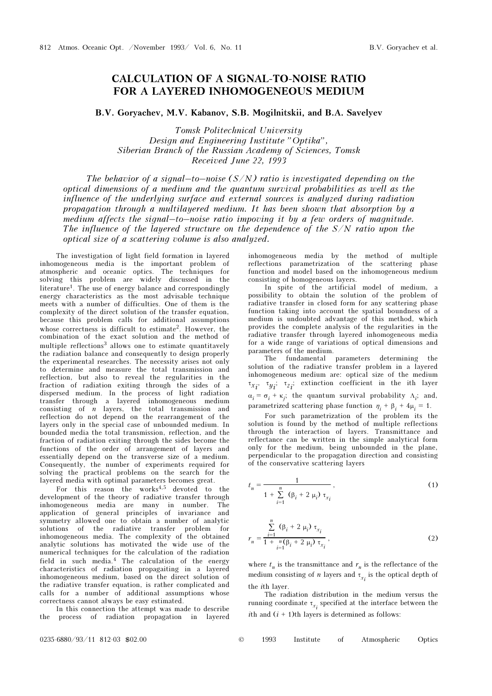## CALCULATION OF A SIGNAL-TO-NOISE RATIO FOR A LAYERED INHOMOGENEOUS MEDIUM

B.V. Goryachev, M.V. Kabanov, S.B. Mogilnitskii, and B.A. Savelyev

Tomsk Politechnical University Design and Engineering Institute "Optika", Siberian Branch of the Russian Academy of Sciences, Tomsk Received June 22, 1993

The behavior of a signal–to–noise  $(S/N)$  ratio is investigated depending on the optical dimensions of a medium and the quantum survival probabilities as well as the influence of the underlying surface and external sources is analyzed during radiation propagation through a multilayered medium. It has been shown that absorption by a medium affects the signal–to–noise ratio impoving it by a few orders of magnitude. The influence of the layered structure on the dependence of the  $S/N$  ratio upon the optical size of a scattering volume is also analyzed.

The investigation of light field formation in layered inhomogeneous media is the important problem of atmospheric and oceanic optics. The techniques for solving this problem are widely discussed in the literature<sup>1</sup>. The use of energy balance and correspondingly energy characteristics as the most advisable technique meets with a number of difficulties. One of them is the complexity of the direct solution of the transfer equation, because this problem calls for additional assumptions whose correctness is difficult to estimate<sup>2</sup>. However, the combination of the exact solution and the method of multiple reflections<sup>3</sup> allows one to estimate quantitavely the radiation balance and consequently to design properly the experimental researches. The necessity arises not only to determine and measure the total transmission and reflection, but also to reveal the regularities in the fraction of radiation exiting through the sides of a dispersed medium. In the process of light radiation transfer through a layered inhomogeneous medium consisting of n layers, the total transmission and reflection do not depend on the rearrangement of the layers only in the special case of unbounded medium. In bounded media the total transmission, reflection, and the fraction of radiation exiting through the sides become the functions of the order of arrangement of layers and essentially depend on the transverse size of a medium. Consequently, the number of experiments required for solving the practical problems on the search for the layered media with optimal parameters becomes great.

For this reason the works $4,5$  devoted to the development of the theory of radiative transfer through inhomogeneous media are many in number. The application of general principles of invariance and symmetry allowed one to obtain a number of analytic solutions of the radiative transfer problem for inhomogeneous media. The complexity of the obtained analytic solutions has motivated the wide use of the numerical techniques for the calculation of the radiation field in such media.<sup>4</sup> The calculation of the energy characteristics of radiation propagaiting in a layered inhomogeneous medium, based on the direct solution of the radiative transfer equation, is rather complicated and calls for a number of additional assumptions whose correctness cannot always be easy estimated.

In this connection the attempt was made to describe the process of radiation propagation in layered

inhomogeneous media by the method of multiple reflections parametrization of the scattering phase function and model based on the inhomogeneous medium consisting of homogeneous layers.

In spite of the artificial model of medium, a possibility to obtain the solution of the problem of radiative transfer in closed form for any scattering phase function taking into account the spatial boundness of a medium is undoubted advantage of this method, which provides the complete analysis of the regularities in the radiative transfer through layered inhomogeneous media for a wide range of variations of optical dimensions and parameters of the medium.

The fundamental parameters determining the solution of the radiative transfer problem in a layered inhomogeneous medium are: optical size of the medium  $\tau_{x_i}, \tau_{y_i}; \tau_{z_i};$  extinction coefficient in the ith layer  $\alpha_i = \sigma_i + \kappa_j$ ; the quantum survival probability  $\Lambda_i$ ; and, parametrized scattering phase function  $\eta_i + \beta_i + 4\mu_i = 1$ .

For such parametrization of the problem its the solution is found by the method of multiple reflections through the interaction of layers. Transmittance and reflectance can be written in the simple analytical form only for the medium, being unbounded in the plane, perpendicular to the propagation direction and consisting of the conservative scattering layers

$$
t_n = \frac{1}{1 + \sum_{i=1}^n (\beta_i + 2 \mu_i) \tau_{x_i}},
$$
 (1)

$$
r_n = \frac{\sum_{i=1}^{n} (\beta_i + 2 \mu_i) \tau_{x_i}}{1 + \sum_{i=1}^{n} (\beta_i + 2 \mu_i) \tau_{x_i}},
$$
\n(2)

where  $t_n$  is the transmittance and  $r_n$  is the reflectance of the medium consisting of *n* layers and  $\tau_{x_i}$  is the optical depth of the ith layer.

The radiation distribution in the medium versus the running coordinate  $\tau_{x_i}$  specified at the interface between the *i*th and  $(i + 1)$ th layers is determined as follows: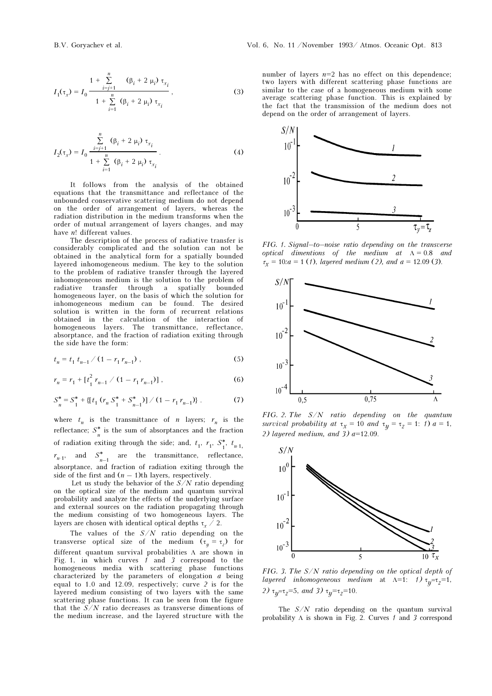$$
I_{1}(\tau_{x}) = I_{0} \frac{1 + \sum_{i=j+1}^{n} (\beta_{i} + 2 \mu_{i}) \tau_{x_{i}}}{1 + \sum_{i=1}^{n} (\beta_{i} + 2 \mu_{i}) \tau_{x_{i}}},
$$
\n(3)

$$
I_2(\tau_x) = I_0 \frac{\sum_{i=j+1}^n (\beta_i + 2 \mu_i) \tau_{x_i}}{1 + \sum_{i=1}^n (\beta_i + 2 \mu_i) \tau_{x_i}}.
$$
 (4)

It follows from the analysis of the obtained equations that the transmittance and reflectance of the unbounded conservative scattering medium do not depend on the order of arrangement of layers, whereas the radiation distribution in the medium transforms when the order of mutual arrangement of layers changes, and may have *n*! different values.

The description of the process of radiative transfer is considerably complicated and the solution can not be obtained in the analytical form for a spatially bounded layered inhomogeneous medium. The key to the solution to the problem of radiative transfer through the layered inhomogeneous medium is the solution to the problem of radiative transfer through a spatially bounded homogeneous layer, on the basis of which the solution for inhomogeneous medium can be found. The desired solution is written in the form of recurrent relations obtained in the calculation of the interaction of homogeneous layers. The transmittance, reflectance, absorptance, and the fraction of radiation exiting through the side have the form:

$$
t_n = t_1 \, t_{n-1} \, / \, (1 - r_1 \, r_{n-1}) \tag{5}
$$

$$
r_n = r_1 + \left[ t_1^2 \, r_{n-1} \, / \, (1 - r_1 \, r_{n-1}) \right],\tag{6}
$$

$$
S_n^* = S_1^* + \{ [t_1 \left( r_n S_1^* + S_{n-1}^* \right) ] \ / \left( 1 - r_1 r_{n-1} \right) \} . \tag{7}
$$

where  $t_n$  is the transmittance of *n* layers;  $r_n$  is the reflectance;  $S_n^*$  is the sum of absorptances and the fraction of radiation exiting through the side; and,  $t_1$ ,  $r_1$ ,  $S_1^*$ ,  $t_{n-1}$ ,  $r_{n-1}$ , and  $S_{n-1}^*$  are the transmittance, reflectance, absorptance, and fraction of radiation exiting through the side of the first and  $(n - 1)$ th layers, respectively.

Let us study the behavior of the  $S/N$  ratio depending on the optical size of the medium and quantum survival probability and analyze the effects of the underlying surface and external sources on the radiation propagating through the medium consisting of two homogeneous layers. The layers are chosen with identical optical depths  $\tau_r \neq 2$ .

The values of the  $S/N$  ratio depending on the transverse optical size of the medium  $(\tau_y = \tau_z)$  for different quantum survival probabilities Λ are shown in Fig. 1, in which curves 1 and 3 correspond to the homogeneous media with scattering phase functions characterized by the parameters of elongation  $a$  being equal to 1.0 and 12.09, respectively; curve 2 is for the layered medium consisting of two layers with the same scattering phase functions. It can be seen from the figure that the  $S/N$  ratio decreases as transverse dimentions of the medium increase, and the layered structure with the

number of layers  $n=2$  has no effect on this dependence; two layers with different scattering phase functions are similar to the case of a homogeneous medium with some average scattering phase function. This is explained by the fact that the transmission of the medium does not depend on the order of arrangement of layers.



FIG. 1. Signal–to–noise ratio depending on the transverse optical dimentions of the medium at  $\Lambda = 0.8$  and  $\tau_{\rm r}$  = 10:a = 1 (1), layered medium (2), and a = 12.09 (3).



FIG. 2. The  $S/N$  ratio depending on the quantum survival probability at  $\tau_x = 10$  and  $\tau_y = \tau_z = 1$ : 1)  $a = 1$ , 2) layered medium, and  $3$ ) a=12.09.



FIG. 3. The S/N ratio depending on the optical depth of layered inhomogeneous medium at  $\Lambda = 1$ : 1)  $\tau_{\mu} = \tau_{z} = 1$ , 2)  $\tau_{\nu} = \tau_{z} = 5$ , and 3)  $\tau_{\nu} = \tau_{z} = 10$ .

The  $S/N$  ratio depending on the quantum survival probability  $\Lambda$  is shown in Fig. 2. Curves 1 and 3 correspond